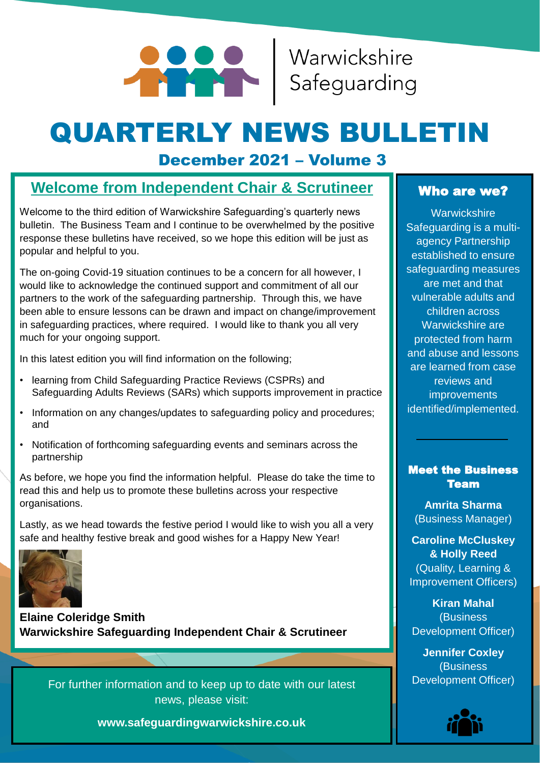

# QUARTERLY NEWS BULLETIN

# December 2021 – Volume 3

# **Welcome from Independent Chair & Scrutineer**

Welcome to the third edition of Warwickshire Safeguarding's quarterly news bulletin. The Business Team and I continue to be overwhelmed by the positive response these bulletins have received, so we hope this edition will be just as popular and helpful to you.

The on-going Covid-19 situation continues to be a concern for all however, I would like to acknowledge the continued support and commitment of all our partners to the work of the safeguarding partnership. Through this, we have been able to ensure lessons can be drawn and impact on change/improvement in safeguarding practices, where required. I would like to thank you all very much for your ongoing support.

In this latest edition you will find information on the following;

- learning from Child Safeguarding Practice Reviews (CSPRs) and Safeguarding Adults Reviews (SARs) which supports improvement in practice
- Information on any changes/updates to safeguarding policy and procedures; and
- Notification of forthcoming safeguarding events and seminars across the partnership

As before, we hope you find the information helpful. Please do take the time to read this and help us to promote these bulletins across your respective organisations.

Lastly, as we head towards the festive period I would like to wish you all a very safe and healthy festive break and good wishes for a Happy New Year!



**Elaine Coleridge Smith Warwickshire Safeguarding Independent Chair & Scrutineer**

For further information and to keep up to date with our latest news, please visit:

**www.safeguardingwarwickshire.co.uk**

#### Who are we?

**Warwickshire** Safeguarding is a multiagency Partnership established to ensure safeguarding measures are met and that vulnerable adults and children across Warwickshire are protected from harm and abuse and lessons are learned from case reviews and improvements identified/implemented.

#### Meet the Business Team

**Amrita Sharma** (Business Manager)

**Caroline McCluskey & Holly Reed** (Quality, Learning & Improvement Officers)

**Kiran Mahal** (Business Development Officer)

**Jennifer Coxley** (Business Development Officer)

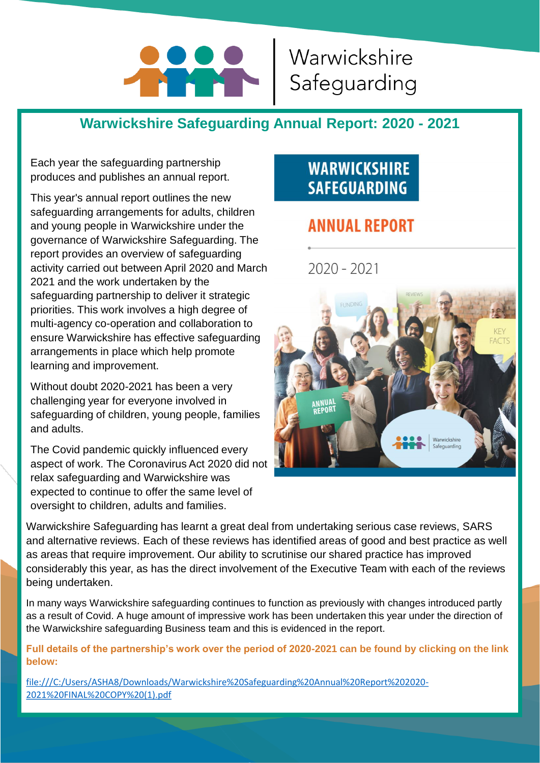# **POPUL**

# Warwickshire Safeguarding

# **Warwickshire Safeguarding Annual Report: 2020 - 2021**

Each year the safeguarding partnership produces and publishes an annual report.

This year's annual report outlines the new safeguarding arrangements for adults, children and young people in Warwickshire under the governance of Warwickshire Safeguarding. The report provides an overview of safeguarding activity carried out between April 2020 and March 2021 and the work undertaken by the safeguarding partnership to deliver it strategic priorities. This work involves a high degree of multi-agency co-operation and collaboration to ensure Warwickshire has effective safeguarding arrangements in place which help promote learning and improvement.

Without doubt 2020-2021 has been a very challenging year for everyone involved in safeguarding of children, young people, families and adults.

The Covid pandemic quickly influenced every aspect of work. The Coronavirus Act 2020 did not relax safeguarding and Warwickshire was expected to continue to offer the same level of oversight to children, adults and families.

# **WARWICKSHIRE SAFEGUARDING**

# **ANNUAL REPORT**

 $2020 - 2021$ 



Warwickshire Safeguarding has learnt a great deal from undertaking serious case reviews, SARS and alternative reviews. Each of these reviews has identified areas of good and best practice as well as areas that require improvement. Our ability to scrutinise our shared practice has improved considerably this year, as has the direct involvement of the Executive Team with each of the reviews being undertaken.

In many ways Warwickshire safeguarding continues to function as previously with changes introduced partly as a result of Covid. A huge amount of impressive work has been undertaken this year under the direction of the Warwickshire safeguarding Business team and this is evidenced in the report.

**Full details of the partnership's work over the period of 2020-2021 can be found by clicking on the link below:**

[file:///C:/Users/ASHA8/Downloads/Warwickshire%20Safeguarding%20Annual%20Report%202020-](file:///C:/Users/ASHA8/Downloads/Warwickshire Safeguarding Annual Report 2020-2021 FINAL COPY (1).pdf) 2021%20FINAL%20COPY%20(1).pdf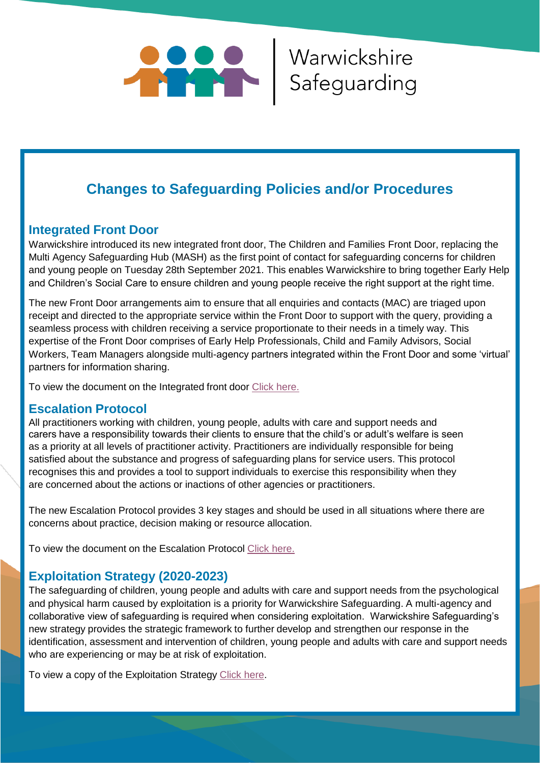

# **Changes to Safeguarding Policies and/or Procedures**

#### **Integrated Front Door**

Warwickshire introduced its new integrated front door, The Children and Families Front Door, replacing the Multi Agency Safeguarding Hub (MASH) as the first point of contact for safeguarding concerns for children and young people on Tuesday 28th September 2021. This enables Warwickshire to bring together Early Help and Children's Social Care to ensure children and young people receive the right support at the right time.

The new Front Door arrangements aim to ensure that all enquiries and contacts (MAC) are triaged upon receipt and directed to the appropriate service within the Front Door to support with the query, providing a seamless process with children receiving a service proportionate to their needs in a timely way. This expertise of the Front Door comprises of Early Help Professionals, Child and Family Advisors, Social Workers, Team Managers alongside multi-agency partners integrated within the Front Door and some 'virtual' partners for information sharing.

To view the document on the Integrated front door [Click here.](https://www.safeguardingwarwickshire.co.uk/news/safeguarding-children-news/315-new-children-and-families-front-door-to-replace-warwickshire-mash)

#### **Escalation Protocol**

All practitioners working with children, young people, adults with care and support needs and carers have a responsibility towards their clients to ensure that the child's or adult's welfare is seen as a priority at all levels of practitioner activity. Practitioners are individually responsible for being satisfied about the substance and progress of safeguarding plans for service users. This protocol recognises this and provides a tool to support individuals to exercise this responsibility when they are concerned about the actions or inactions of other agencies or practitioners.

The new Escalation Protocol provides 3 key stages and should be used in all situations where there are concerns about practice, decision making or resource allocation.

To view the document on the Escalation Protocol [Click here.](https://www.safeguardingwarwickshire.co.uk/safeguarding-adults/i-work-with-adults/practitioner-escalation-protocol)

#### **Exploitation Strategy (2020-2023)**

The safeguarding of children, young people and adults with care and support needs from the psychological and physical harm caused by exploitation is a priority for Warwickshire Safeguarding. A multi-agency and collaborative view of safeguarding is required when considering exploitation. Warwickshire Safeguarding's new strategy provides the strategic framework to further develop and strengthen our response in the identification, assessment and intervention of children, young people and adults with care and support needs who are experiencing or may be at risk of exploitation.

To view a copy of the Exploitation Strategy [Click here](https://www.safeguardingwarwickshire.co.uk/images/WS_Exploitation_Strategy_2020-23_FINAL_COPY_-_v2.1_13_08_2021._1.pdf).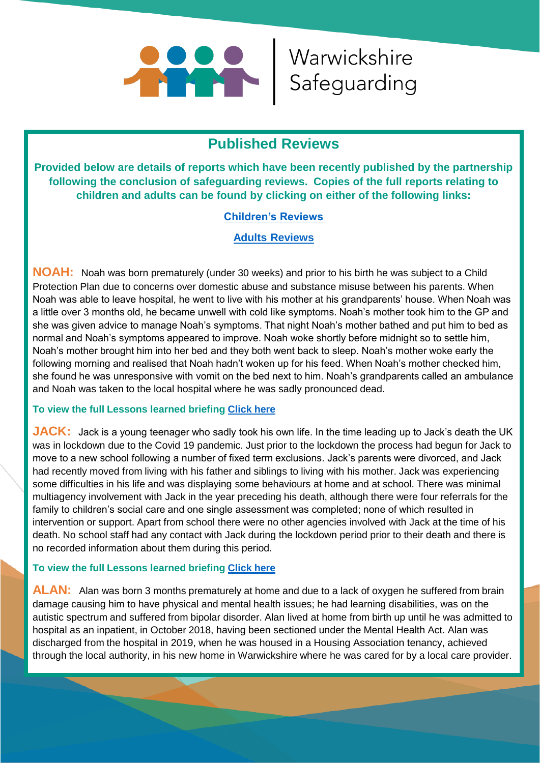

Warwickshire

### **Published Reviews**

**Provided below are details of reports which have been recently published by the partnership following the conclusion of safeguarding reviews. Copies of the full reports relating to children and adults can be found by clicking on either of the following links:**

#### **[Children's Reviews](https://www.safeguardingwarwickshire.co.uk/safeguarding-children/safeguarding-children-partnership/case-reviews)**

#### **[Adults Reviews](https://www.safeguardingwarwickshire.co.uk/safeguarding-adults/safeguarding-adults-partnership/14-safeguarding-adults/safeguarding-adults-board/327-safeguarding-adults-reviews-3)**

**NOAH:** Noah was born prematurely (under 30 weeks) and prior to his birth he was subject to a Child Protection Plan due to concerns over domestic abuse and substance misuse between his parents. When Noah was able to leave hospital, he went to live with his mother at his grandparents' house. When Noah was a little over 3 months old, he became unwell with cold like symptoms. Noah's mother took him to the GP and she was given advice to manage Noah's symptoms. That night Noah's mother bathed and put him to bed as normal and Noah's symptoms appeared to improve. Noah woke shortly before midnight so to settle him, Noah's mother brought him into her bed and they both went back to sleep. Noah's mother woke early the following morning and realised that Noah hadn't woken up for his feed. When Noah's mother checked him, she found he was unresponsive with vomit on the bed next to him. Noah's grandparents called an ambulance and Noah was taken to the local hospital where he was sadly pronounced dead.

#### **To view the full Lessons learned briefing [Click here](https://www.safeguardingwarwickshire.co.uk/images/Safeguarding_Briefings/Noah_Lessons_Learned_Briefing_-_vs_4.0_07_07_2021.pdf)**

**JACK:** Jack is a young teenager who sadly took his own life. In the time leading up to Jack's death the UK was in lockdown due to the Covid 19 pandemic. Just prior to the lockdown the process had begun for Jack to move to a new school following a number of fixed term exclusions. Jack's parents were divorced, and Jack had recently moved from living with his father and siblings to living with his mother. Jack was experiencing some difficulties in his life and was displaying some behaviours at home and at school. There was minimal multiagency involvement with Jack in the year preceding his death, although there were four referrals for the family to children's social care and one single assessment was completed; none of which resulted in intervention or support. Apart from school there were no other agencies involved with Jack at the time of his death. No school staff had any contact with Jack during the lockdown period prior to their death and there is no recorded information about them during this period.

#### **To view the full Lessons learned briefing [Click here](https://www.safeguardingwarwickshire.co.uk/images/downloads/LLB_Jack_v_1.0_13_09_2021.pdf)**

**ALAN:** Alan was born 3 months prematurely at home and due to a lack of oxygen he suffered from brain damage causing him to have physical and mental health issues; he had learning disabilities, was on the autistic spectrum and suffered from bipolar disorder. Alan lived at home from birth up until he was admitted to hospital as an inpatient, in October 2018, having been sectioned under the Mental Health Act. Alan was discharged from the hospital in 2019, when he was housed in a Housing Association tenancy, achieved through the local authority, in his new home in Warwickshire where he was cared for by a local care provider.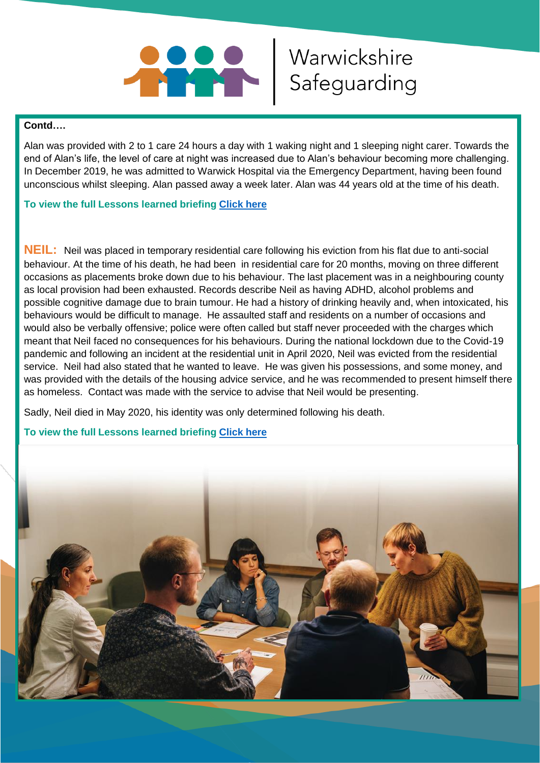

#### **Contd….**

Alan was provided with 2 to 1 care 24 hours a day with 1 waking night and 1 sleeping night carer. Towards the end of Alan's life, the level of care at night was increased due to Alan's behaviour becoming more challenging. In December 2019, he was admitted to Warwick Hospital via the Emergency Department, having been found unconscious whilst sleeping. Alan passed away a week later. Alan was 44 years old at the time of his death.

Warwickshire

#### **To view the full Lessons learned briefing [Click here](https://www.safeguardingwarwickshire.co.uk/images/LLB_v_1.0_23_09_2021.pdf)**

**NEIL:** Neil was placed in temporary residential care following his eviction from his flat due to anti-social behaviour. At the time of his death, he had been in residential care for 20 months, moving on three different occasions as placements broke down due to his behaviour. The last placement was in a neighbouring county as local provision had been exhausted. Records describe Neil as having ADHD, alcohol problems and possible cognitive damage due to brain tumour. He had a history of drinking heavily and, when intoxicated, his behaviours would be difficult to manage. He assaulted staff and residents on a number of occasions and would also be verbally offensive; police were often called but staff never proceeded with the charges which meant that Neil faced no consequences for his behaviours. During the national lockdown due to the Covid-19 pandemic and following an incident at the residential unit in April 2020, Neil was evicted from the residential service. Neil had also stated that he wanted to leave. He was given his possessions, and some money, and was provided with the details of the housing advice service, and he was recommended to present himself there as homeless. Contact was made with the service to advise that Neil would be presenting.

Sadly, Neil died in May 2020, his identity was only determined following his death.

#### **To view the full Lessons learned briefing [Click here](https://www.safeguardingwarwickshire.co.uk/lessons-learnt-briefings)**

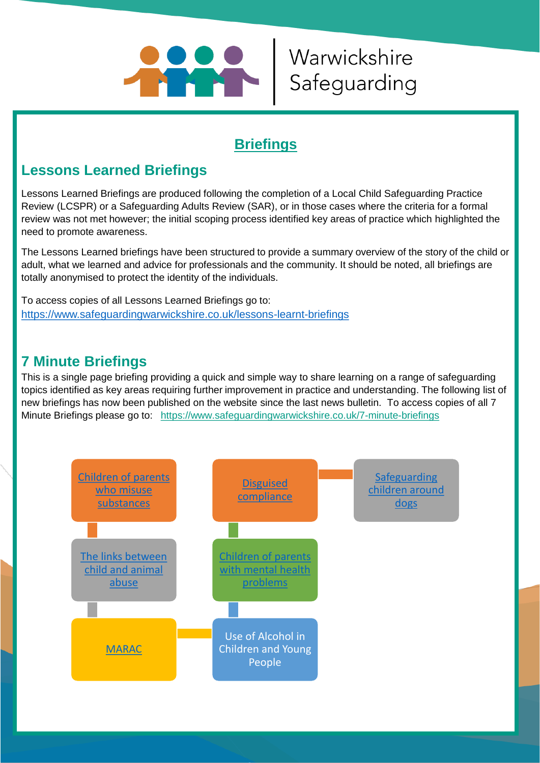

# Warwickshire Safeguarding

# **Briefings**

## **Lessons Learned Briefings**

Lessons Learned Briefings are produced following the completion of a Local Child Safeguarding Practice Review (LCSPR) or a Safeguarding Adults Review (SAR), or in those cases where the criteria for a formal review was not met however; the initial scoping process identified key areas of practice which highlighted the need to promote awareness.

The Lessons Learned briefings have been structured to provide a summary overview of the story of the child or adult, what we learned and advice for professionals and the community. It should be noted, all briefings are totally anonymised to protect the identity of the individuals.

To access copies of all Lessons Learned Briefings go to: <https://www.safeguardingwarwickshire.co.uk/lessons-learnt-briefings>

## **7 Minute Briefings**

This is a single page briefing providing a quick and simple way to share learning on a range of safeguarding topics identified as key areas requiring further improvement in practice and understanding. The following list of new briefings has now been published on the website since the last news bulletin. To access copies of all 7 Minute Briefings please go to: <https://www.safeguardingwarwickshire.co.uk/7-minute-briefings>